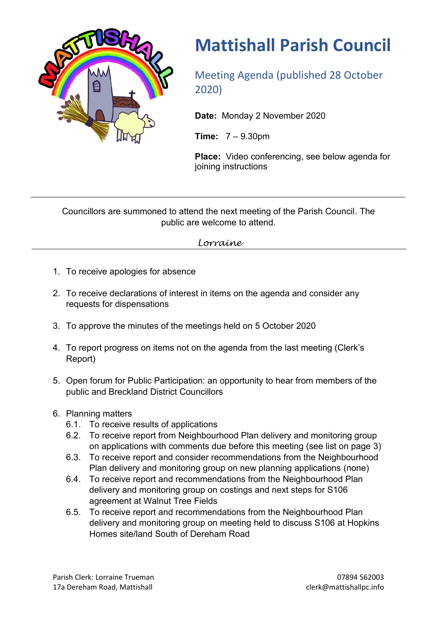

## **Mattishall Parish Council**

Meeting Agenda (published 28 October 2020)

**Date:** Monday 2 November 2020

**Time:** 7 – 9.30pm

**Place:** Video conferencing, see below agenda for joining instructions

Councillors are summoned to attend the next meeting of the Parish Council. The public are welcome to attend.

*Lorraine*

- 1. To receive apologies for absence
- 2. To receive declarations of interest in items on the agenda and consider any requests for dispensations
- 3. To approve the minutes of the meetings held on 5 October 2020
- 4. To report progress on items not on the agenda from the last meeting (Clerk's Report)
- 5. Open forum for Public Participation: an opportunity to hear from members of the public and Breckland District Councillors
- 6. Planning matters
	- 6.1. To receive results of applications
	- 6.2. To receive report from Neighbourhood Plan delivery and monitoring group on applications with comments due before this meeting (see list on page 3)
	- 6.3. To receive report and consider recommendations from the Neighbourhood Plan delivery and monitoring group on new planning applications (none)
	- 6.4. To receive report and recommendations from the Neighbourhood Plan delivery and monitoring group on costings and next steps for S106 agreement at Walnut Tree Fields
	- 6.5. To receive report and recommendations from the Neighbourhood Plan delivery and monitoring group on meeting held to discuss S106 at Hopkins Homes site/land South of Dereham Road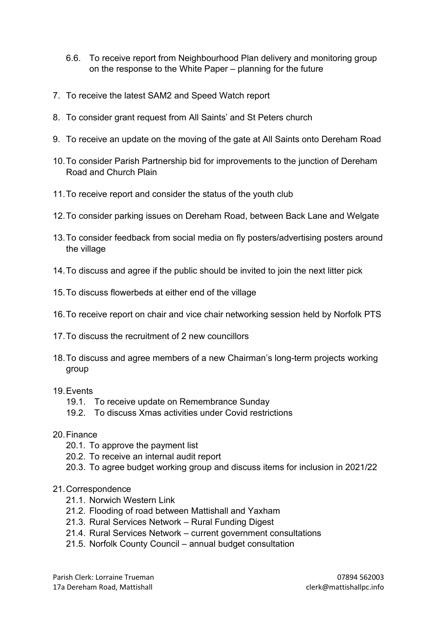- 6.6. To receive report from Neighbourhood Plan delivery and monitoring group on the response to the White Paper – planning for the future
- 7. To receive the latest SAM2 and Speed Watch report
- 8. To consider grant request from All Saints' and St Peters church
- 9. To receive an update on the moving of the gate at All Saints onto Dereham Road
- 10.To consider Parish Partnership bid for improvements to the junction of Dereham Road and Church Plain
- 11.To receive report and consider the status of the youth club
- 12.To consider parking issues on Dereham Road, between Back Lane and Welgate
- 13.To consider feedback from social media on fly posters/advertising posters around the village
- 14.To discuss and agree if the public should be invited to join the next litter pick
- 15.To discuss flowerbeds at either end of the village
- 16.To receive report on chair and vice chair networking session held by Norfolk PTS
- 17.To discuss the recruitment of 2 new councillors
- 18.To discuss and agree members of a new Chairman's long-term projects working group
- 19.Events
	- 19.1. To receive update on Remembrance Sunday
	- 19.2. To discuss Xmas activities under Covid restrictions
- 20.Finance
	- 20.1. To approve the payment list
	- 20.2. To receive an internal audit report
	- 20.3. To agree budget working group and discuss items for inclusion in 2021/22

## 21.Correspondence

- 21.1. Norwich Western Link
- 21.2. Flooding of road between Mattishall and Yaxham
- 21.3. Rural Services Network Rural Funding Digest
- 21.4. Rural Services Network current government consultations
- 21.5. Norfolk County Council annual budget consultation